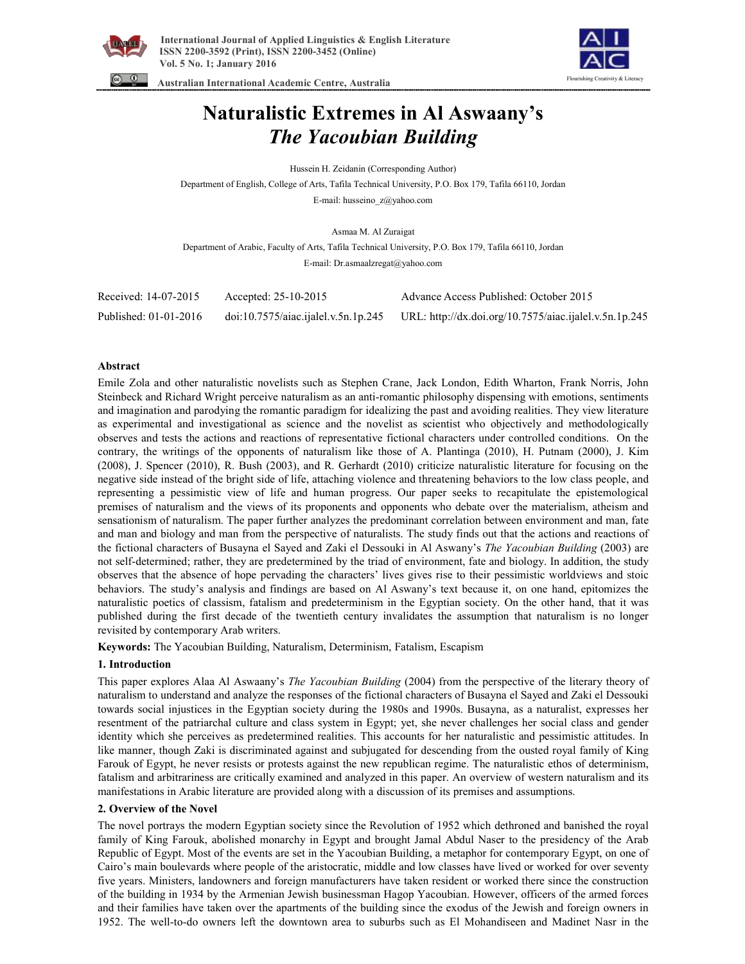





# **Naturalistic Extremes in Al Aswaany's**  *The Yacoubian Building*

Hussein H. Zeidanin (Corresponding Author)

Department of English, College of Arts, Tafila Technical University, P.O. Box 179, Tafila 66110, Jordan

E-mail: husseino\_z@yahoo.com

Asmaa M. Al Zuraigat

Department of Arabic, Faculty of Arts, Tafila Technical University, P.O. Box 179, Tafila 66110, Jordan E-mail: Dr.asmaalzregat@yahoo.com

| Received: 14-07-2015  | Accepted: $25-10-2015$              | Advance Access Published: October 2015                 |
|-----------------------|-------------------------------------|--------------------------------------------------------|
| Published: 01-01-2016 | doi:10.7575/aiac.ijalel.v.5n.1p.245 | URL: http://dx.doi.org/10.7575/aiac.ijalel.v.5n.1p.245 |

## **Abstract**

Emile Zola and other naturalistic novelists such as Stephen Crane, Jack London, Edith Wharton, Frank Norris, John Steinbeck and Richard Wright perceive naturalism as an anti-romantic philosophy dispensing with emotions, sentiments and imagination and parodying the romantic paradigm for idealizing the past and avoiding realities. They view literature as experimental and investigational as science and the novelist as scientist who objectively and methodologically observes and tests the actions and reactions of representative fictional characters under controlled conditions. On the contrary, the writings of the opponents of naturalism like those of A. Plantinga (2010), H. Putnam (2000), J. Kim (2008), J. Spencer (2010), R. Bush (2003), and R. Gerhardt (2010) criticize naturalistic literature for focusing on the negative side instead of the bright side of life, attaching violence and threatening behaviors to the low class people, and representing a pessimistic view of life and human progress. Our paper seeks to recapitulate the epistemological premises of naturalism and the views of its proponents and opponents who debate over the materialism, atheism and sensationism of naturalism. The paper further analyzes the predominant correlation between environment and man, fate and man and biology and man from the perspective of naturalists. The study finds out that the actions and reactions of the fictional characters of Busayna el Sayed and Zaki el Dessouki in Al Aswany's *The Yacoubian Building* (2003) are not self-determined; rather, they are predetermined by the triad of environment, fate and biology. In addition, the study observes that the absence of hope pervading the characters' lives gives rise to their pessimistic worldviews and stoic behaviors. The study's analysis and findings are based on Al Aswany's text because it, on one hand, epitomizes the naturalistic poetics of classism, fatalism and predeterminism in the Egyptian society. On the other hand, that it was published during the first decade of the twentieth century invalidates the assumption that naturalism is no longer revisited by contemporary Arab writers.

**Keywords:** The Yacoubian Building, Naturalism, Determinism, Fatalism, Escapism

## **1. Introduction**

This paper explores Alaa Al Aswaany's *The Yacoubian Building* (2004) from the perspective of the literary theory of naturalism to understand and analyze the responses of the fictional characters of Busayna el Sayed and Zaki el Dessouki towards social injustices in the Egyptian society during the 1980s and 1990s. Busayna, as a naturalist, expresses her resentment of the patriarchal culture and class system in Egypt; yet, she never challenges her social class and gender identity which she perceives as predetermined realities. This accounts for her naturalistic and pessimistic attitudes. In like manner, though Zaki is discriminated against and subjugated for descending from the ousted royal family of King Farouk of Egypt, he never resists or protests against the new republican regime. The naturalistic ethos of determinism, fatalism and arbitrariness are critically examined and analyzed in this paper. An overview of western naturalism and its manifestations in Arabic literature are provided along with a discussion of its premises and assumptions.

## **2. Overview of the Novel**

The novel portrays the modern Egyptian society since the Revolution of 1952 which dethroned and banished the royal family of King Farouk, abolished monarchy in Egypt and brought Jamal Abdul Naser to the presidency of the Arab Republic of Egypt. Most of the events are set in the Yacoubian Building, a metaphor for contemporary Egypt, on one of Cairo's main boulevards where people of the aristocratic, middle and low classes have lived or worked for over seventy five years. Ministers, landowners and foreign manufacturers have taken resident or worked there since the construction of the building in 1934 by the Armenian Jewish businessman Hagop Yacoubian. However, officers of the armed forces and their families have taken over the apartments of the building since the exodus of the Jewish and foreign owners in 1952. The well-to-do owners left the downtown area to suburbs such as El Mohandiseen and Madinet Nasr in the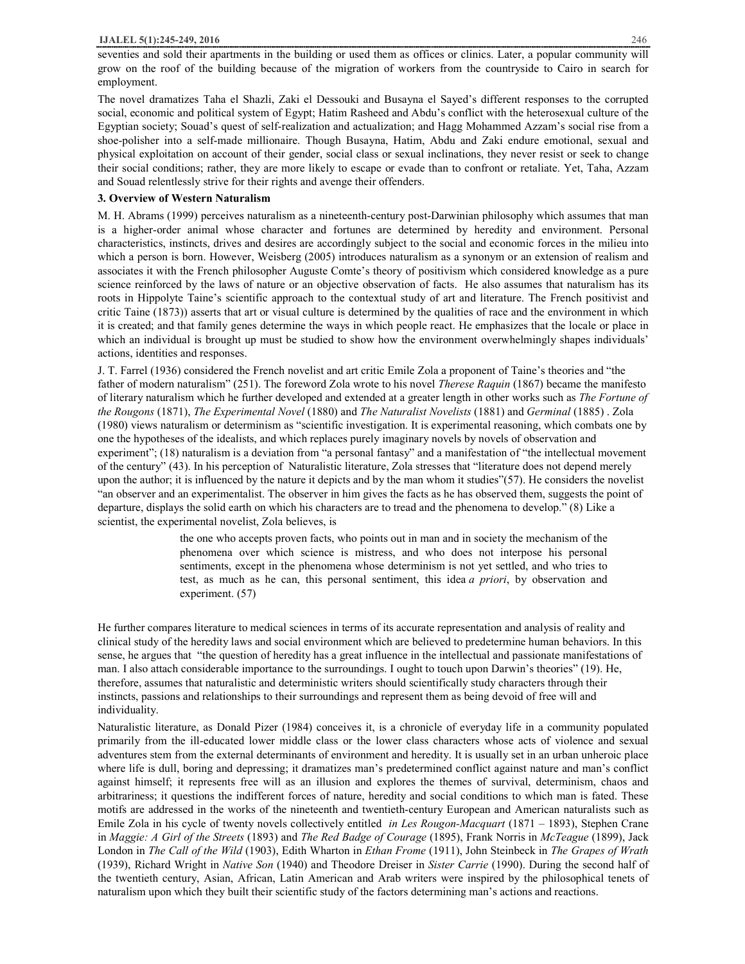seventies and sold their apartments in the building or used them as offices or clinics. Later, a popular community will grow on the roof of the building because of the migration of workers from the countryside to Cairo in search for employment.

The novel dramatizes Taha el Shazli, Zaki el Dessouki and Busayna el Sayed's different responses to the corrupted social, economic and political system of Egypt; Hatim Rasheed and Abdu's conflict with the heterosexual culture of the Egyptian society; Souad's quest of self-realization and actualization; and Hagg Mohammed Azzam's social rise from a shoe-polisher into a self-made millionaire. Though Busayna, Hatim, Abdu and Zaki endure emotional, sexual and physical exploitation on account of their gender, social class or sexual inclinations, they never resist or seek to change their social conditions; rather, they are more likely to escape or evade than to confront or retaliate. Yet, Taha, Azzam and Souad relentlessly strive for their rights and avenge their offenders.

## **3. Overview of Western Naturalism**

M. H. Abrams (1999) perceives naturalism as a nineteenth-century post-Darwinian philosophy which assumes that man is a higher-order animal whose character and fortunes are determined by heredity and environment. Personal characteristics, instincts, drives and desires are accordingly subject to the social and economic forces in the milieu into which a person is born. However, Weisberg (2005) introduces naturalism as a synonym or an extension of realism and associates it with the French philosopher Auguste Comte's theory of positivism which considered knowledge as a pure science reinforced by the laws of nature or an objective observation of facts. He also assumes that naturalism has its roots in Hippolyte Taine's scientific approach to the contextual study of art and literature. The French positivist and critic Taine (1873)) asserts that art or visual culture is determined by the qualities of race and the environment in which it is created; and that family genes determine the ways in which people react. He emphasizes that the locale or place in which an individual is brought up must be studied to show how the environment overwhelmingly shapes individuals' actions, identities and responses.

J. T. Farrel (1936) considered the French novelist and art critic Emile Zola a proponent of Taine's theories and "the father of modern naturalism" (251). The foreword Zola wrote to his novel *Therese Raquin* (1867) became the manifesto of literary naturalism which he further developed and extended at a greater length in other works such as *The Fortune of the Rougons* (1871), *The Experimental Novel* (1880) and *The Naturalist Novelists* (1881) and *Germinal* (1885) . Zola (1980) views naturalism or determinism as "scientific investigation. It is experimental reasoning, which combats one by one the hypotheses of the idealists, and which replaces purely imaginary novels by novels of observation and experiment"; (18) naturalism is a deviation from "a personal fantasy" and a manifestation of "the intellectual movement of the century" (43). In his perception of Naturalistic literature, Zola stresses that "literature does not depend merely upon the author; it is influenced by the nature it depicts and by the man whom it studies"(57). He considers the novelist "an observer and an experimentalist. The observer in him gives the facts as he has observed them, suggests the point of departure, displays the solid earth on which his characters are to tread and the phenomena to develop." (8) Like a scientist, the experimental novelist, Zola believes, is

> the one who accepts proven facts, who points out in man and in society the mechanism of the phenomena over which science is mistress, and who does not interpose his personal sentiments, except in the phenomena whose determinism is not yet settled, and who tries to test, as much as he can, this personal sentiment, this idea *a priori*, by observation and experiment. (57)

He further compares literature to medical sciences in terms of its accurate representation and analysis of reality and clinical study of the heredity laws and social environment which are believed to predetermine human behaviors. In this sense, he argues that "the question of heredity has a great influence in the intellectual and passionate manifestations of man. I also attach considerable importance to the surroundings. I ought to touch upon Darwin's theories" (19). He, therefore, assumes that naturalistic and deterministic writers should scientifically study characters through their instincts, passions and relationships to their surroundings and represent them as being devoid of free will and individuality.

Naturalistic literature, as Donald Pizer (1984) conceives it, is a chronicle of everyday life in a community populated primarily from the ill-educated lower middle class or the lower class characters whose acts of violence and sexual adventures stem from the external determinants of environment and heredity. It is usually set in an urban unheroic place where life is dull, boring and depressing; it dramatizes man's predetermined conflict against nature and man's conflict against himself; it represents free will as an illusion and explores the themes of survival, determinism, chaos and arbitrariness; it questions the indifferent forces of nature, heredity and social conditions to which man is fated. These motifs are addressed in the works of the nineteenth and twentieth-century European and American naturalists such as Emile Zola in his cycle of twenty novels collectively entitled *in Les Rougon-Macquart* (1871 – 1893), Stephen Crane in *Maggie: A Girl of the Streets* (1893) and *The Red Badge of Courage* (1895), Frank Norris in *McTeague* (1899), Jack London in *The Call of the Wild* (1903), Edith Wharton in *Ethan Frome* (1911), John Steinbeck in *The Grapes of Wrath* (1939), Richard Wright in *Native Son* (1940) and Theodore Dreiser in *Sister Carrie* (1990). During the second half of the twentieth century, Asian, African, Latin American and Arab writers were inspired by the philosophical tenets of naturalism upon which they built their scientific study of the factors determining man's actions and reactions.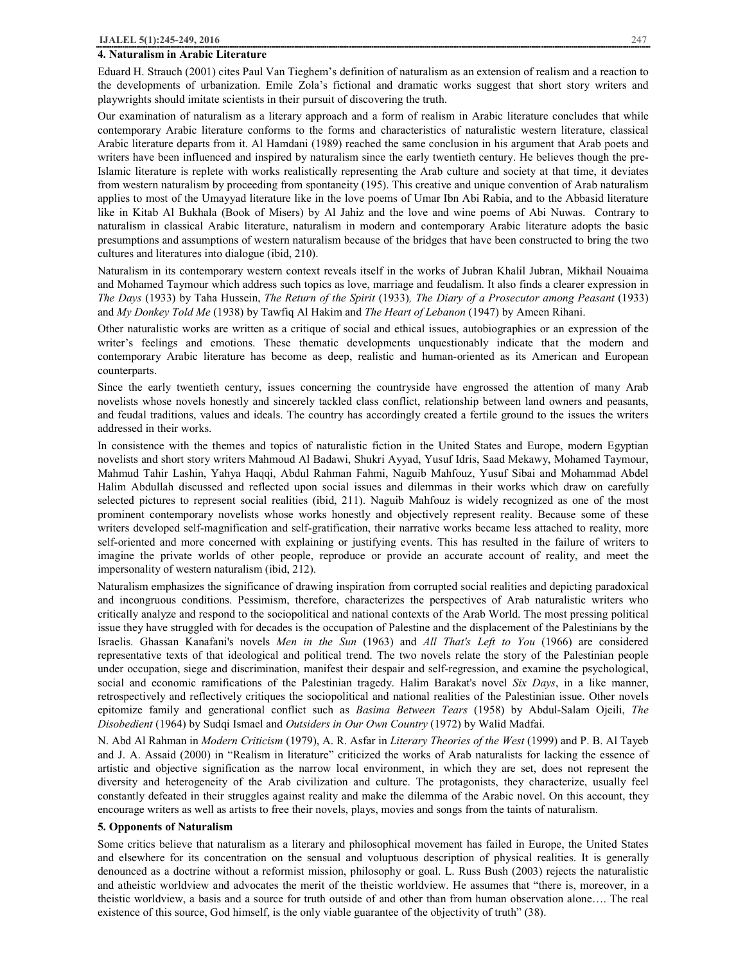#### **4. Naturalism in Arabic Literature**

Eduard H. Strauch (2001) cites Paul Van Tieghem's definition of naturalism as an extension of realism and a reaction to the developments of urbanization. Emile Zola's fictional and dramatic works suggest that short story writers and playwrights should imitate scientists in their pursuit of discovering the truth.

Our examination of naturalism as a literary approach and a form of realism in Arabic literature concludes that while contemporary Arabic literature conforms to the forms and characteristics of naturalistic western literature, classical Arabic literature departs from it. Al Hamdani (1989) reached the same conclusion in his argument that Arab poets and writers have been influenced and inspired by naturalism since the early twentieth century. He believes though the pre-Islamic literature is replete with works realistically representing the Arab culture and society at that time, it deviates from western naturalism by proceeding from spontaneity (195). This creative and unique convention of Arab naturalism applies to most of the Umayyad literature like in the love poems of Umar Ibn Abi Rabia, and to the Abbasid literature like in Kitab Al Bukhala (Book of Misers) by Al Jahiz and the love and wine poems of Abi Nuwas. Contrary to naturalism in classical Arabic literature, naturalism in modern and contemporary Arabic literature adopts the basic presumptions and assumptions of western naturalism because of the bridges that have been constructed to bring the two cultures and literatures into dialogue (ibid, 210).

Naturalism in its contemporary western context reveals itself in the works of Jubran Khalil Jubran, Mikhail Nouaima and Mohamed Taymour which address such topics as love, marriage and feudalism. It also finds a clearer expression in *The Days* (1933) by Taha Hussein, *The Return of the Spirit* (1933)*, The Diary of a Prosecutor among Peasant* (1933) and *My Donkey Told Me* (1938) by Tawfiq Al Hakim and *The Heart of Lebanon* (1947) by Ameen Rihani.

Other naturalistic works are written as a critique of social and ethical issues, autobiographies or an expression of the writer's feelings and emotions. These thematic developments unquestionably indicate that the modern and contemporary Arabic literature has become as deep, realistic and human-oriented as its American and European counterparts.

Since the early twentieth century, issues concerning the countryside have engrossed the attention of many Arab novelists whose novels honestly and sincerely tackled class conflict, relationship between land owners and peasants, and feudal traditions, values and ideals. The country has accordingly created a fertile ground to the issues the writers addressed in their works.

In consistence with the themes and topics of naturalistic fiction in the United States and Europe, modern Egyptian novelists and short story writers Mahmoud Al Badawi, Shukri Ayyad, Yusuf Idris, Saad Mekawy, Mohamed Taymour, Mahmud Tahir Lashin, Yahya Haqqi, Abdul Rahman Fahmi, Naguib Mahfouz, Yusuf Sibai and Mohammad Abdel Halim Abdullah discussed and reflected upon social issues and dilemmas in their works which draw on carefully selected pictures to represent social realities (ibid, 211). Naguib Mahfouz is widely recognized as one of the most prominent contemporary novelists whose works honestly and objectively represent reality. Because some of these writers developed self-magnification and self-gratification, their narrative works became less attached to reality, more self-oriented and more concerned with explaining or justifying events. This has resulted in the failure of writers to imagine the private worlds of other people, reproduce or provide an accurate account of reality, and meet the impersonality of western naturalism (ibid, 212).

Naturalism emphasizes the significance of drawing inspiration from corrupted social realities and depicting paradoxical and incongruous conditions. Pessimism, therefore, characterizes the perspectives of Arab naturalistic writers who critically analyze and respond to the sociopolitical and national contexts of the Arab World. The most pressing political issue they have struggled with for decades is the occupation of Palestine and the displacement of the Palestinians by the Israelis. Ghassan Kanafani's novels *Men in the Sun* (1963) and *All That's Left to You* (1966) are considered representative texts of that ideological and political trend. The two novels relate the story of the Palestinian people under occupation, siege and discrimination, manifest their despair and self-regression, and examine the psychological, social and economic ramifications of the Palestinian tragedy. Halim Barakat's novel *Six Days*, in a like manner, retrospectively and reflectively critiques the sociopolitical and national realities of the Palestinian issue. Other novels epitomize family and generational conflict such as *Basima Between Tears* (1958) by Abdul-Salam Ojeili, *The Disobedient* (1964) by Sudqi Ismael and *Outsiders in Our Own Country* (1972) by Walid Madfai.

N. Abd Al Rahman in *Modern Criticism* (1979), A. R. Asfar in *Literary Theories of the West* (1999) and P. B. Al Tayeb and J. A. Assaid (2000) in "Realism in literature" criticized the works of Arab naturalists for lacking the essence of artistic and objective signification as the narrow local environment, in which they are set, does not represent the diversity and heterogeneity of the Arab civilization and culture. The protagonists, they characterize, usually feel constantly defeated in their struggles against reality and make the dilemma of the Arabic novel. On this account, they encourage writers as well as artists to free their novels, plays, movies and songs from the taints of naturalism.

#### **5. Opponents of Naturalism**

Some critics believe that naturalism as a literary and philosophical movement has failed in Europe, the United States and elsewhere for its concentration on the sensual and voluptuous description of physical realities. It is generally denounced as a doctrine without a reformist mission, philosophy or goal. L. Russ Bush (2003) rejects the naturalistic and atheistic worldview and advocates the merit of the theistic worldview. He assumes that "there is, moreover, in a theistic worldview, a basis and a source for truth outside of and other than from human observation alone…. The real existence of this source, God himself, is the only viable guarantee of the objectivity of truth" (38).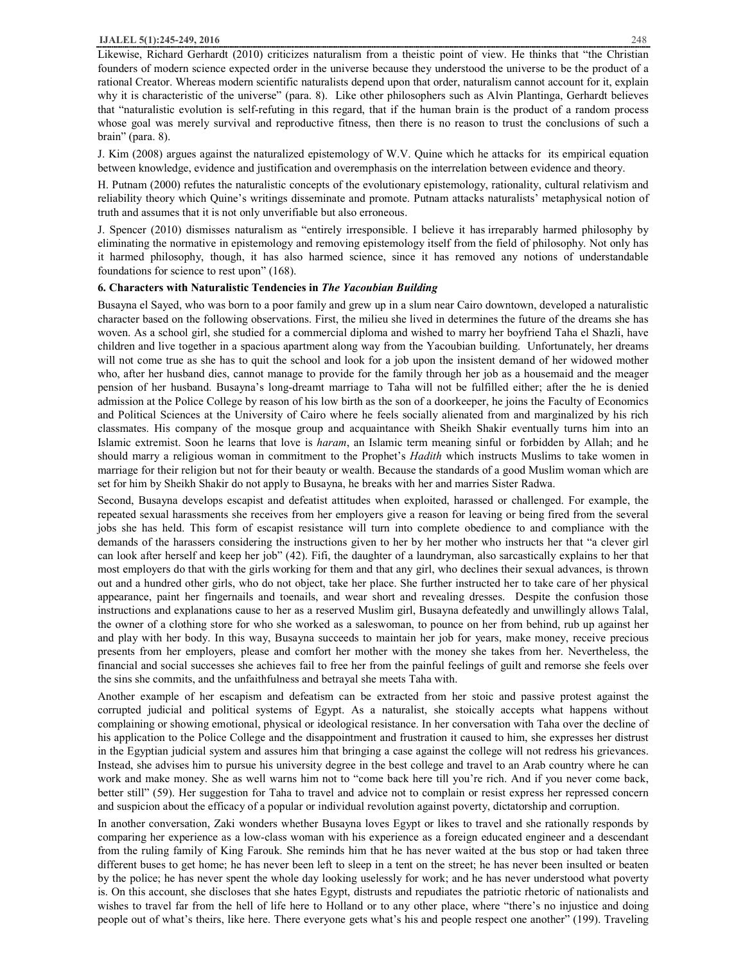Likewise, Richard Gerhardt (2010) criticizes naturalism from a theistic point of view. He thinks that "the Christian founders of modern science expected order in the universe because they understood the universe to be the product of a rational Creator. Whereas modern scientific naturalists depend upon that order, naturalism cannot account for it, explain why it is characteristic of the universe" (para. 8). Like other philosophers such as Alvin Plantinga, Gerhardt believes that "naturalistic evolution is self-refuting in this regard, that if the human brain is the product of a random process whose goal was merely survival and reproductive fitness, then there is no reason to trust the conclusions of such a brain" (para. 8).

J. Kim (2008) argues against the naturalized epistemology of W.V. Quine which he attacks for its empirical equation between knowledge, evidence and justification and overemphasis on the interrelation between evidence and theory.

H. Putnam (2000) refutes the naturalistic concepts of the evolutionary epistemology, rationality, cultural relativism and reliability theory which Quine's writings disseminate and promote. Putnam attacks naturalists' metaphysical notion of truth and assumes that it is not only unverifiable but also erroneous.

J. Spencer (2010) dismisses naturalism as "entirely irresponsible. I believe it has irreparably harmed philosophy by eliminating the normative in epistemology and removing epistemology itself from the field of philosophy. Not only has it harmed philosophy, though, it has also harmed science, since it has removed any notions of understandable foundations for science to rest upon" (168).

#### **6. Characters with Naturalistic Tendencies in** *The Yacoubian Building*

Busayna el Sayed, who was born to a poor family and grew up in a slum near Cairo downtown, developed a naturalistic character based on the following observations. First, the milieu she lived in determines the future of the dreams she has woven. As a school girl, she studied for a commercial diploma and wished to marry her boyfriend Taha el Shazli, have children and live together in a spacious apartment along way from the Yacoubian building. Unfortunately, her dreams will not come true as she has to quit the school and look for a job upon the insistent demand of her widowed mother who, after her husband dies, cannot manage to provide for the family through her job as a housemaid and the meager pension of her husband. Busayna's long-dreamt marriage to Taha will not be fulfilled either; after the he is denied admission at the Police College by reason of his low birth as the son of a doorkeeper, he joins the Faculty of Economics and Political Sciences at the University of Cairo where he feels socially alienated from and marginalized by his rich classmates. His company of the mosque group and acquaintance with Sheikh Shakir eventually turns him into an Islamic extremist. Soon he learns that love is *haram*, an Islamic term meaning sinful or forbidden by Allah; and he should marry a religious woman in commitment to the Prophet's *Hadith* which instructs Muslims to take women in marriage for their religion but not for their beauty or wealth. Because the standards of a good Muslim woman which are set for him by Sheikh Shakir do not apply to Busayna, he breaks with her and marries Sister Radwa.

Second, Busayna develops escapist and defeatist attitudes when exploited, harassed or challenged. For example, the repeated sexual harassments she receives from her employers give a reason for leaving or being fired from the several jobs she has held. This form of escapist resistance will turn into complete obedience to and compliance with the demands of the harassers considering the instructions given to her by her mother who instructs her that "a clever girl can look after herself and keep her job" (42). Fifi, the daughter of a laundryman, also sarcastically explains to her that most employers do that with the girls working for them and that any girl, who declines their sexual advances, is thrown out and a hundred other girls, who do not object, take her place. She further instructed her to take care of her physical appearance, paint her fingernails and toenails, and wear short and revealing dresses. Despite the confusion those instructions and explanations cause to her as a reserved Muslim girl, Busayna defeatedly and unwillingly allows Talal, the owner of a clothing store for who she worked as a saleswoman, to pounce on her from behind, rub up against her and play with her body. In this way, Busayna succeeds to maintain her job for years, make money, receive precious presents from her employers, please and comfort her mother with the money she takes from her. Nevertheless, the financial and social successes she achieves fail to free her from the painful feelings of guilt and remorse she feels over the sins she commits, and the unfaithfulness and betrayal she meets Taha with.

Another example of her escapism and defeatism can be extracted from her stoic and passive protest against the corrupted judicial and political systems of Egypt. As a naturalist, she stoically accepts what happens without complaining or showing emotional, physical or ideological resistance. In her conversation with Taha over the decline of his application to the Police College and the disappointment and frustration it caused to him, she expresses her distrust in the Egyptian judicial system and assures him that bringing a case against the college will not redress his grievances. Instead, she advises him to pursue his university degree in the best college and travel to an Arab country where he can work and make money. She as well warns him not to "come back here till you're rich. And if you never come back, better still" (59). Her suggestion for Taha to travel and advice not to complain or resist express her repressed concern and suspicion about the efficacy of a popular or individual revolution against poverty, dictatorship and corruption.

In another conversation, Zaki wonders whether Busayna loves Egypt or likes to travel and she rationally responds by comparing her experience as a low-class woman with his experience as a foreign educated engineer and a descendant from the ruling family of King Farouk. She reminds him that he has never waited at the bus stop or had taken three different buses to get home; he has never been left to sleep in a tent on the street; he has never been insulted or beaten by the police; he has never spent the whole day looking uselessly for work; and he has never understood what poverty is. On this account, she discloses that she hates Egypt, distrusts and repudiates the patriotic rhetoric of nationalists and wishes to travel far from the hell of life here to Holland or to any other place, where "there's no injustice and doing people out of what's theirs, like here. There everyone gets what's his and people respect one another" (199). Traveling